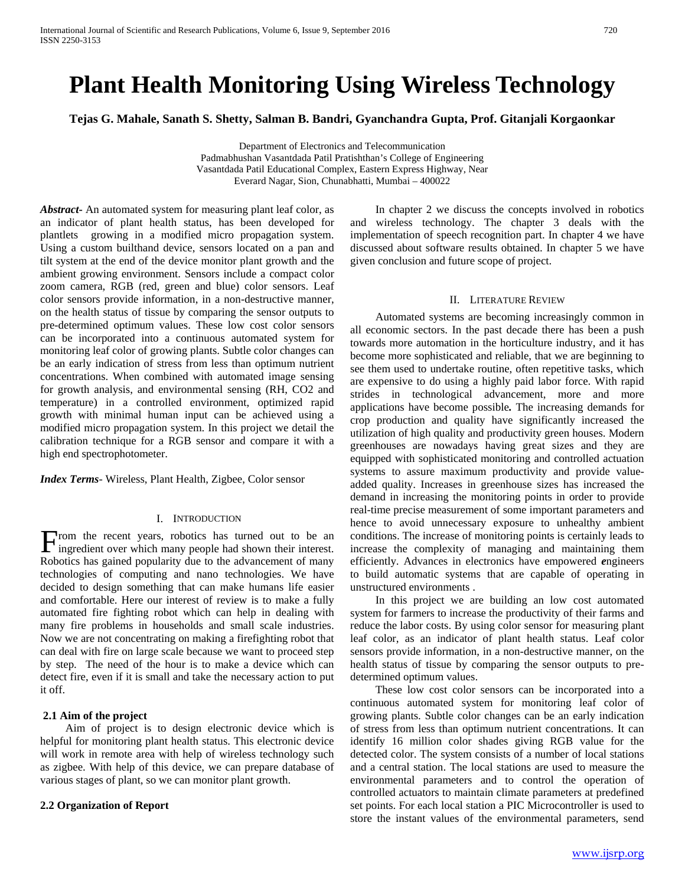# **Plant Health Monitoring Using Wireless Technology**

**Tejas G. Mahale, Sanath S. Shetty, Salman B. Bandri, Gyanchandra Gupta, Prof. Gitanjali Korgaonkar**

Department of Electronics and Telecommunication Padmabhushan Vasantdada Patil Pratishthan's College of Engineering Vasantdada Patil Educational Complex, Eastern Express Highway, Near Everard Nagar, Sion, Chunabhatti, Mumbai – 400022

*Abstract***-** An automated system for measuring plant leaf color, as an indicator of plant health status, has been developed for plantlets growing in a modified micro propagation system. Using a custom builthand device, sensors located on a pan and tilt system at the end of the device monitor plant growth and the ambient growing environment. Sensors include a compact color zoom camera, RGB (red, green and blue) color sensors. Leaf color sensors provide information, in a non-destructive manner, on the health status of tissue by comparing the sensor outputs to pre-determined optimum values. These low cost color sensors can be incorporated into a continuous automated system for monitoring leaf color of growing plants. Subtle color changes can be an early indication of stress from less than optimum nutrient concentrations. When combined with automated image sensing for growth analysis, and environmental sensing (RH, CO2 and temperature) in a controlled environment, optimized rapid growth with minimal human input can be achieved using a modified micro propagation system. In this project we detail the calibration technique for a RGB sensor and compare it with a high end spectrophotometer.

*Index Terms*- Wireless, Plant Health, Zigbee, Color sensor

#### I. INTRODUCTION

rom the recent years, robotics has turned out to be an From the recent years, robotics has turned out to be an ingredient over which many people had shown their interest. Robotics has gained popularity due to the advancement of many technologies of computing and nano technologies. We have decided to design something that can make humans life easier and comfortable. Here our interest of review is to make a fully automated fire fighting robot which can help in dealing with many fire problems in households and small scale industries. Now we are not concentrating on making a firefighting robot that can deal with fire on large scale because we want to proceed step by step. The need of the hour is to make a device which can detect fire, even if it is small and take the necessary action to put it off.

#### **2.1 Aim of the project**

 Aim of project is to design electronic device which is helpful for monitoring plant health status. This electronic device will work in remote area with help of wireless technology such as zigbee. With help of this device, we can prepare database of various stages of plant, so we can monitor plant growth.

#### **2.2 Organization of Report**

 In chapter 2 we discuss the concepts involved in robotics and wireless technology. The chapter 3 deals with the implementation of speech recognition part. In chapter 4 we have discussed about software results obtained. In chapter 5 we have given conclusion and future scope of project.

#### II. LITERATURE REVIEW

 Automated systems are becoming increasingly common in all economic sectors. In the past decade there has been a push towards more automation in the horticulture industry, and it has become more sophisticated and reliable, that we are beginning to see them used to undertake routine, often repetitive tasks, which are expensive to do using a highly paid labor force. With rapid strides in technological advancement, more and more applications have become possible*.* The increasing demands for crop production and quality have significantly increased the utilization of high quality and productivity green houses. Modern greenhouses are nowadays having great sizes and they are equipped with sophisticated monitoring and controlled actuation systems to assure maximum productivity and provide valueadded quality. Increases in greenhouse sizes has increased the demand in increasing the monitoring points in order to provide real-time precise measurement of some important parameters and hence to avoid unnecessary exposure to unhealthy ambient conditions. The increase of monitoring points is certainly leads to increase the complexity of managing and maintaining them efficiently. Advances in electronics have empowered *e*ngineers to build automatic systems that are capable of operating in unstructured environments .

 In this project we are building an low cost automated system for farmers to increase the productivity of their farms and reduce the labor costs. By using color sensor for measuring plant leaf color, as an indicator of plant health status. Leaf color sensors provide information, in a non-destructive manner, on the health status of tissue by comparing the sensor outputs to predetermined optimum values.

 These low cost color sensors can be incorporated into a continuous automated system for monitoring leaf color of growing plants. Subtle color changes can be an early indication of stress from less than optimum nutrient concentrations. It can identify 16 million color shades giving RGB value for the detected color. The system consists of a number of local stations and a central station. The local stations are used to measure the environmental parameters and to control the operation of controlled actuators to maintain climate parameters at predefined set points. For each local station a PIC Microcontroller is used to store the instant values of the environmental parameters, send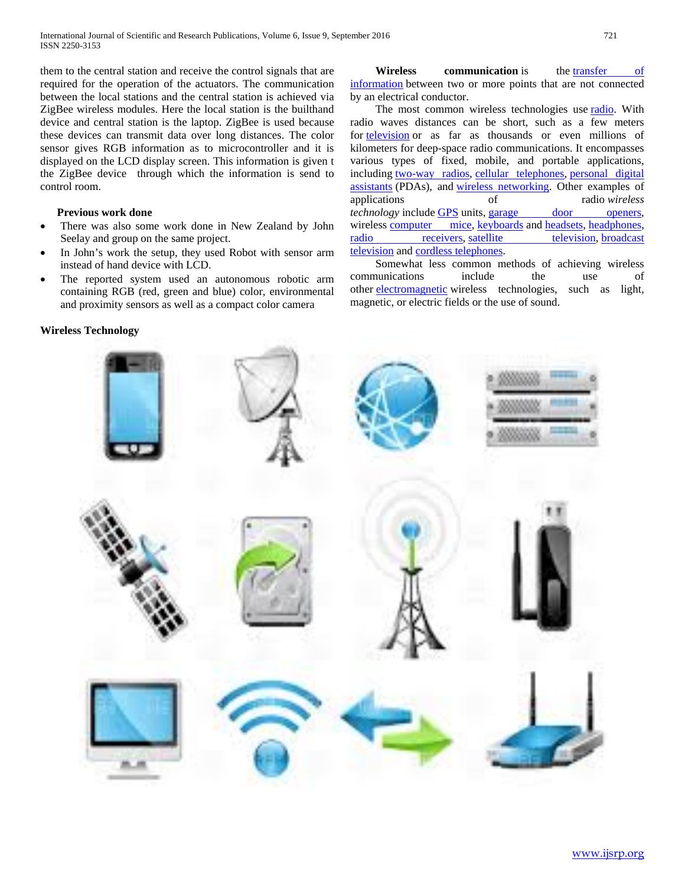them to the central station and receive the control signals that are required for the operation of the actuators. The communication between the local stations and the central station is achieved via ZigBee wireless modules. Here the local station is the builthand device and central station is the laptop. ZigBee is used because these devices can transmit data over long distances. The color sensor gives RGB information as to microcontroller and it is displayed on the LCD display screen. This information is given t the ZigBee device through which the information is send to control room.

#### **Previous work done**

- There was also some work done in New Zealand by John Seelay and group on the same project.
- In John's work the setup, they used Robot with sensor arm instead of hand device with LCD.
- The reported system used an autonomous robotic arm containing RGB (red, green and blue) color, environmental and proximity sensors as well as a compact color camera

**Wireless** communication is the transfer of [information](http://en.wikipedia.org/wiki/Telecommunication) between two or more points that are not connected by an electrical conductor.

The most common wireless technologies use [radio.](http://en.wikipedia.org/wiki/Radio) With radio waves distances can be short, such as a few meters for [television](http://en.wikipedia.org/wiki/Television) or as far as thousands or even millions of kilometers for deep-space radio communications. It encompasses various types of fixed, mobile, and portable applications, including [two-way radios,](http://en.wikipedia.org/wiki/Two-way_radio) [cellular telephones,](http://en.wikipedia.org/wiki/Mobile_phone) [personal digital](http://en.wikipedia.org/wiki/Personal_digital_assistant)  [assistants](http://en.wikipedia.org/wiki/Personal_digital_assistant) (PDAs), and [wireless networking.](http://en.wikipedia.org/wiki/Wireless_network) Other examples of applications of radio *wireless technology* include [GPS](http://en.wikipedia.org/wiki/Global_Positioning_System) units, garage door openers, wireless [computer mice,](http://en.wikipedia.org/wiki/Mouse_(computing)) [keyboards](http://en.wikipedia.org/wiki/Keyboard_(computing)) and [headsets,](http://en.wikipedia.org/wiki/Headset_(audio)) headphones, [radio receivers,](http://en.wikipedia.org/wiki/Radio_receiver) [satellite television,](http://en.wikipedia.org/wiki/Satellite_television) broadcast [television](http://en.wikipedia.org/wiki/Broadcast_television) and [cordless telephones.](http://en.wikipedia.org/wiki/Cordless_telephone)

 Somewhat less common methods of achieving wireless communications include the use of other [electromagnetic](http://en.wikipedia.org/wiki/Electromagnetism) wireless technologies, such as light, magnetic, or electric fields or the use of sound.

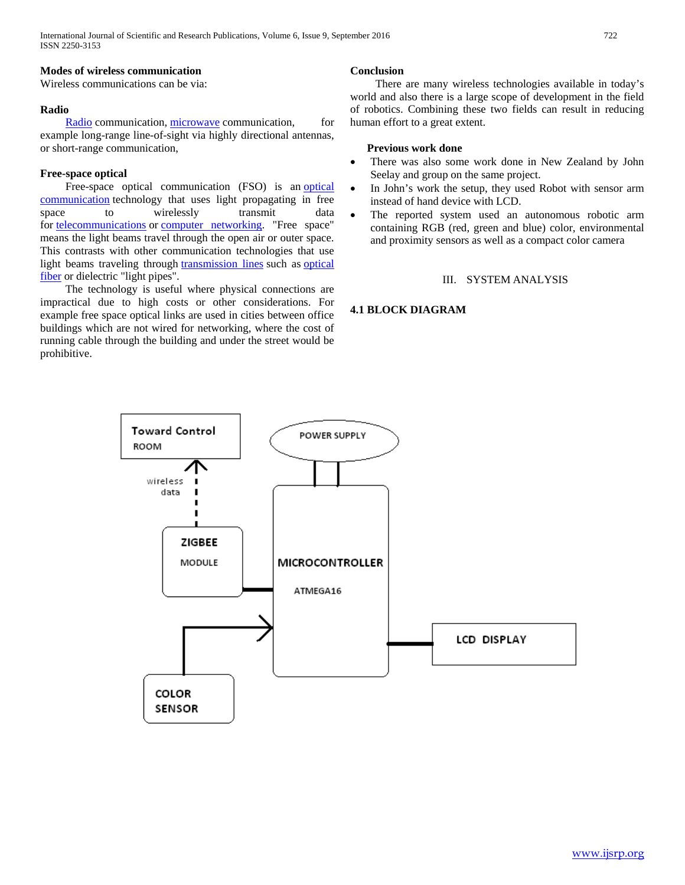#### **Modes of wireless communication**

Wireless communications can be via:

## **Radio**

[Radio](http://en.wikipedia.org/wiki/Radio) communication, [microwave](http://en.wikipedia.org/wiki/Microwave) communication, for example long-range line-of-sight via highly directional antennas, or short-range communication,

## **Free-space optical**

Free-space [optical](http://en.wikipedia.org/wiki/Optical_communication) communication (FSO) is an optical [communication](http://en.wikipedia.org/wiki/Optical_communication) technology that uses light propagating in free space to wirelessly transmit data for [telecommunications](http://en.wikipedia.org/wiki/Telecommunication) or [computer networking.](http://en.wikipedia.org/wiki/Computer_network) "Free space" means the light beams travel through the open air or outer space. This contrasts with other communication technologies that use light beams traveling through **transmission** lines such as **optical** [fiber](http://en.wikipedia.org/wiki/Optical_fiber) or dielectric "light pipes".

 The technology is useful where physical connections are impractical due to high costs or other considerations. For example free space optical links are used in cities between office buildings which are not wired for networking, where the cost of running cable through the building and under the street would be prohibitive.

#### **Conclusion**

 There are many wireless technologies available in today's world and also there is a large scope of development in the field of robotics. Combining these two fields can result in reducing human effort to a great extent.

## **Previous work done**

- There was also some work done in New Zealand by John Seelay and group on the same project.
- In John's work the setup, they used Robot with sensor arm instead of hand device with LCD.
- The reported system used an autonomous robotic arm containing RGB (red, green and blue) color, environmental and proximity sensors as well as a compact color camera

#### III. SYSTEM ANALYSIS

#### **4.1 BLOCK DIAGRAM**

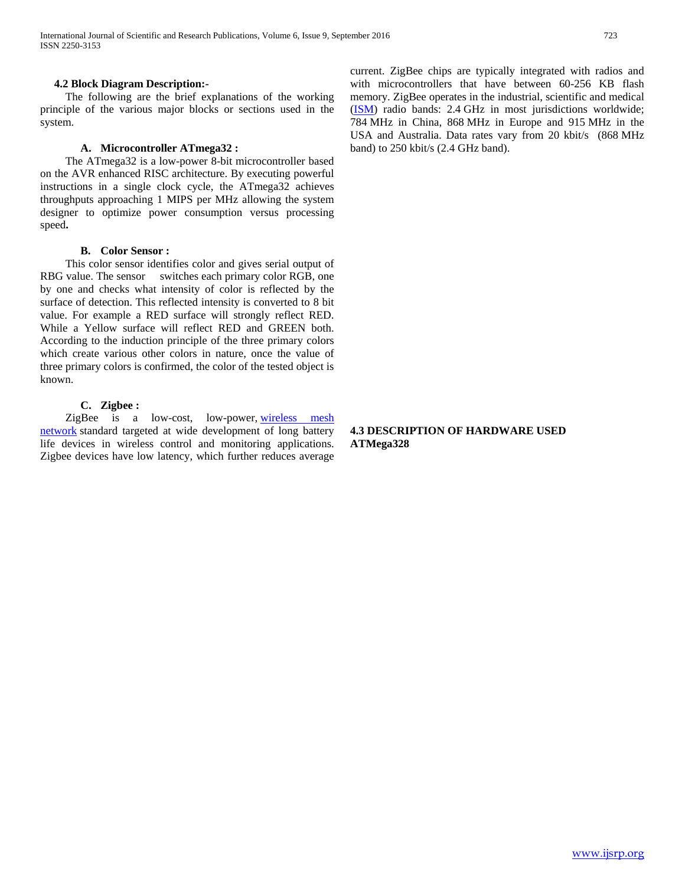#### **4.2 Block Diagram Description:-**

 The following are the brief explanations of the working principle of the various major blocks or sections used in the system.

#### **A. Microcontroller ATmega32 :**

 The ATmega32 is a low-power 8-bit microcontroller based on the AVR enhanced RISC architecture. By executing powerful instructions in a single clock cycle, the ATmega32 achieves throughputs approaching 1 MIPS per MHz allowing the system designer to optimize power consumption versus processing speed**.**

#### **B. Color Sensor :**

 This color sensor identifies color and gives serial output of RBG value. The sensor switches each primary color RGB, one by one and checks what intensity of color is reflected by the surface of detection. This reflected intensity is converted to 8 bit value. For example a RED surface will strongly reflect RED. While a Yellow surface will reflect RED and GREEN both. According to the induction principle of the three primary colors which create various other colors in nature, once the value of three primary colors is confirmed, the color of the tested object is known.

## **C. Zigbee :**

ZigBee is a low-cost, low-power, wireless mesh [network](http://en.wikipedia.org/wiki/Wireless_mesh_network) standard targeted at wide development of long battery life devices in wireless control and monitoring applications. Zigbee devices have low latency, which further reduces average current. ZigBee chips are typically integrated with radios and with microcontrollers that have between 60-256 KB flash memory. ZigBee operates in the industrial, scientific and medical [\(ISM\)](http://en.wikipedia.org/wiki/ISM_band) radio bands: 2.4 GHz in most jurisdictions worldwide; 784 MHz in China, 868 MHz in Europe and 915 MHz in the USA and Australia. Data rates vary from 20 kbit/s (868 MHz band) to 250 kbit/s (2.4 GHz band).

#### **4.3 DESCRIPTION OF HARDWARE USED ATMega328**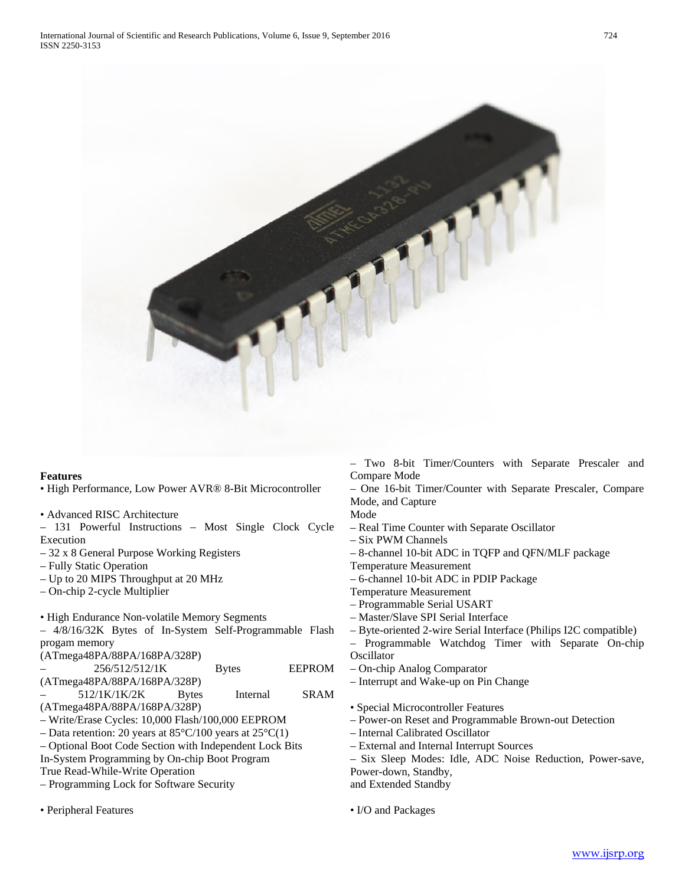

#### **Features**

• High Performance, Low Power AVR® 8-Bit Microcontroller

- Advanced RISC Architecture
- 131 Powerful Instructions Most Single Clock Cycle Execution
- 32 x 8 General Purpose Working Registers
- Fully Static Operation
- Up to 20 MIPS Throughput at 20 MHz
- On-chip 2-cycle Multiplier
- High Endurance Non-volatile Memory Segments
- 4/8/16/32K Bytes of In-System Self-Programmable Flash progam memory

(ATmega48PA/88PA/168PA/328P)

- 256/512/512/1K Bytes EEPROM (ATmega48PA/88PA/168PA/328P) – 512/1K/1K/2K Bytes Internal SRAM (ATmega48PA/88PA/168PA/328P)
- Write/Erase Cycles: 10,000 Flash/100,000 EEPROM
- Data retention: 20 years at  $85^{\circ}$ C/100 years at  $25^{\circ}$ C(1)
- Optional Boot Code Section with Independent Lock Bits
- In-System Programming by On-chip Boot Program

True Read-While-Write Operation

- Programming Lock for Software Security
- Peripheral Features

– Two 8-bit Timer/Counters with Separate Prescaler and Compare Mode

- One 16-bit Timer/Counter with Separate Prescaler, Compare Mode, and Capture
- Mode
- Real Time Counter with Separate Oscillator
- Six PWM Channels
- 8-channel 10-bit ADC in TQFP and QFN/MLF package
- Temperature Measurement
- 6-channel 10-bit ADC in PDIP Package
- Temperature Measurement
- Programmable Serial USART
- Master/Slave SPI Serial Interface
- Byte-oriented 2-wire Serial Interface (Philips I2C compatible)
- Programmable Watchdog Timer with Separate On-chip **Oscillator**
- On-chip Analog Comparator
- Interrupt and Wake-up on Pin Change
- Special Microcontroller Features
- Power-on Reset and Programmable Brown-out Detection
- Internal Calibrated Oscillator
- External and Internal Interrupt Sources
- Six Sleep Modes: Idle, ADC Noise Reduction, Power-save, Power-down, Standby,

and Extended Standby

• I/O and Packages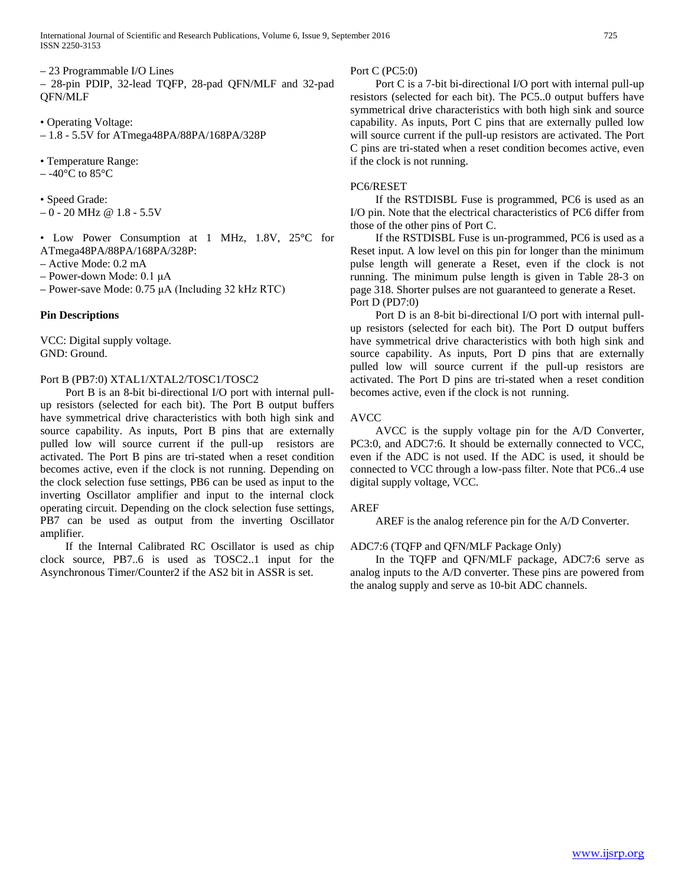International Journal of Scientific and Research Publications, Volume 6, Issue 9, September 2016 725 ISSN 2250-3153

– 23 Programmable I/O Lines

– 28-pin PDIP, 32-lead TQFP, 28-pad QFN/MLF and 32-pad QFN/MLF

• Operating Voltage:

– 1.8 - 5.5V for ATmega48PA/88PA/168PA/328P

• Temperature Range:

 $-$ -40 $^{\circ}$ C to 85 $^{\circ}$ C

• Speed Grade:

 $-0 - 20$  MHz @ 1.8 - 5.5V

• Low Power Consumption at 1 MHz, 1.8V, 25°C for ATmega48PA/88PA/168PA/328P:

– Active Mode: 0.2 mA

– Power-down Mode: 0.1 μA

– Power-save Mode: 0.75 μA (Including 32 kHz RTC)

#### **Pin Descriptions**

VCC: Digital supply voltage. GND: Ground.

#### Port B (PB7:0) XTAL1/XTAL2/TOSC1/TOSC2

 Port B is an 8-bit bi-directional I/O port with internal pullup resistors (selected for each bit). The Port B output buffers have symmetrical drive characteristics with both high sink and source capability. As inputs, Port B pins that are externally pulled low will source current if the pull-up resistors are activated. The Port B pins are tri-stated when a reset condition becomes active, even if the clock is not running. Depending on the clock selection fuse settings, PB6 can be used as input to the inverting Oscillator amplifier and input to the internal clock operating circuit. Depending on the clock selection fuse settings, PB7 can be used as output from the inverting Oscillator amplifier.

 If the Internal Calibrated RC Oscillator is used as chip clock source, PB7..6 is used as TOSC2..1 input for the Asynchronous Timer/Counter2 if the AS2 bit in ASSR is set.

#### Port C (PC5:0)

 Port C is a 7-bit bi-directional I/O port with internal pull-up resistors (selected for each bit). The PC5..0 output buffers have symmetrical drive characteristics with both high sink and source capability. As inputs, Port C pins that are externally pulled low will source current if the pull-up resistors are activated. The Port C pins are tri-stated when a reset condition becomes active, even if the clock is not running.

#### PC6/RESET

 If the RSTDISBL Fuse is programmed, PC6 is used as an I/O pin. Note that the electrical characteristics of PC6 differ from those of the other pins of Port C.

 If the RSTDISBL Fuse is un-programmed, PC6 is used as a Reset input. A low level on this pin for longer than the minimum pulse length will generate a Reset, even if the clock is not running. The minimum pulse length is given in Table 28-3 on page 318. Shorter pulses are not guaranteed to generate a Reset. Port D (PD7:0)

 Port D is an 8-bit bi-directional I/O port with internal pullup resistors (selected for each bit). The Port D output buffers have symmetrical drive characteristics with both high sink and source capability. As inputs, Port D pins that are externally pulled low will source current if the pull-up resistors are activated. The Port D pins are tri-stated when a reset condition becomes active, even if the clock is not running.

#### AVCC

 AVCC is the supply voltage pin for the A/D Converter, PC3:0, and ADC7:6. It should be externally connected to VCC, even if the ADC is not used. If the ADC is used, it should be connected to VCC through a low-pass filter. Note that PC6..4 use digital supply voltage, VCC.

#### AREF

AREF is the analog reference pin for the A/D Converter.

#### ADC7:6 (TQFP and QFN/MLF Package Only)

 In the TQFP and QFN/MLF package, ADC7:6 serve as analog inputs to the A/D converter. These pins are powered from the analog supply and serve as 10-bit ADC channels.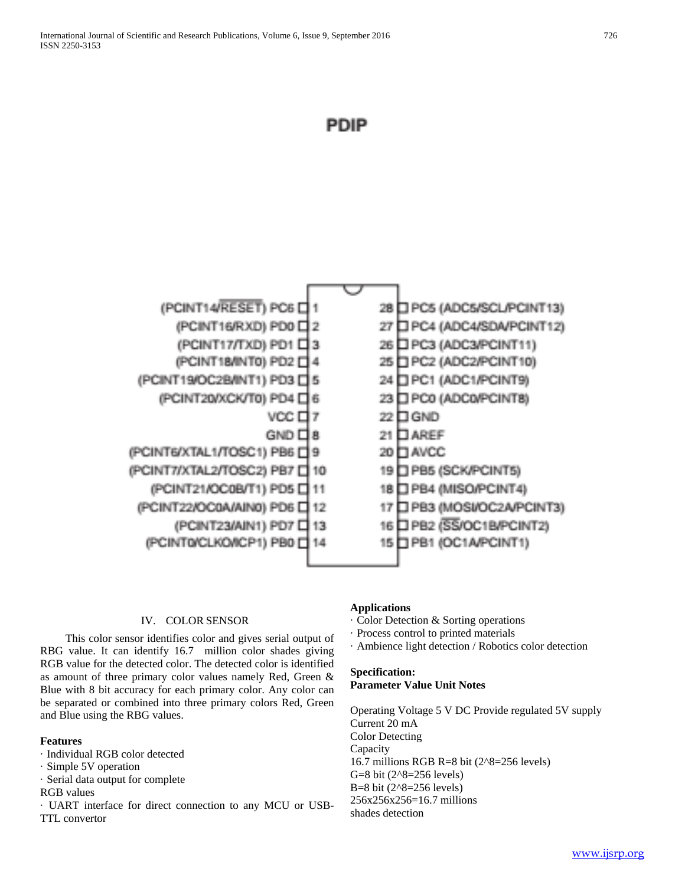## **PDIP**



## IV. COLOR SENSOR

 This color sensor identifies color and gives serial output of RBG value. It can identify 16.7 million color shades giving RGB value for the detected color. The detected color is identified as amount of three primary color values namely Red, Green & Blue with 8 bit accuracy for each primary color. Any color can be separated or combined into three primary colors Red, Green and Blue using the RBG values.

## **Features**

- · Individual RGB color detected
- · Simple 5V operation
- · Serial data output for complete
- RGB values
- · UART interface for direct connection to any MCU or USB-TTL convertor

## **Applications**

- · Color Detection & Sorting operations
- · Process control to printed materials
- · Ambience light detection / Robotics color detection

### **Specification: Parameter Value Unit Notes**

Operating Voltage 5 V DC Provide regulated 5V supply Current 20 mA Color Detecting Capacity 16.7 millions RGB R=8 bit (2^8=256 levels) G=8 bit (2^8=256 levels) B=8 bit (2^8=256 levels) 256x256x256=16.7 millions shades detection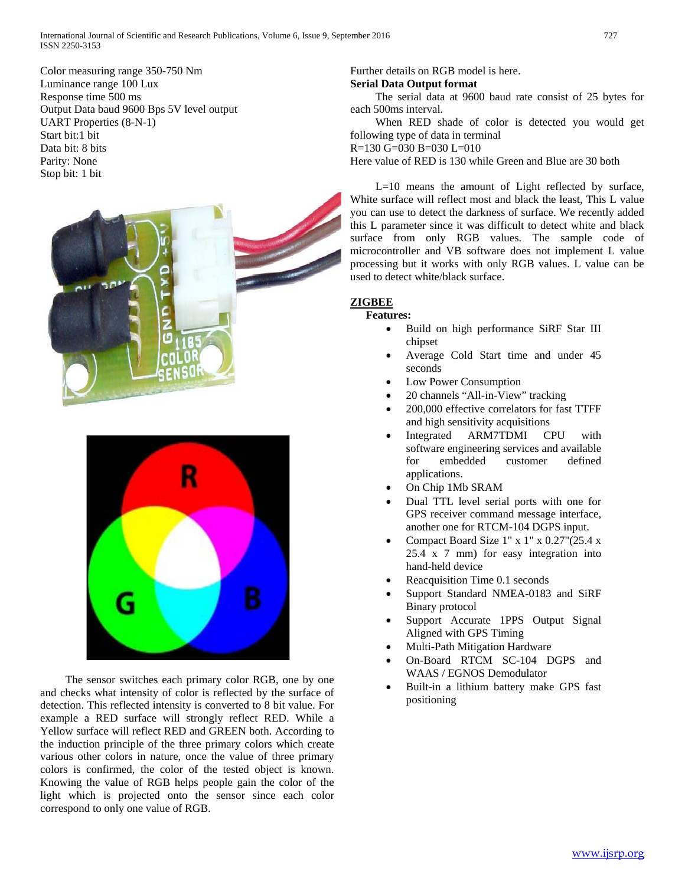Color measuring range 350-750 Nm Luminance range 100 Lux Response time 500 ms Output Data baud 9600 Bps 5V level output UART Properties (8-N-1) Start bit:1 bit Data bit: 8 bits Parity: None Stop bit: 1 bit





 The sensor switches each primary color RGB, one by one and checks what intensity of color is reflected by the surface of detection. This reflected intensity is converted to 8 bit value. For example a RED surface will strongly reflect RED. While a Yellow surface will reflect RED and GREEN both. According to the induction principle of the three primary colors which create various other colors in nature, once the value of three primary colors is confirmed, the color of the tested object is known. Knowing the value of RGB helps people gain the color of the light which is projected onto the sensor since each color correspond to only one value of RGB.

#### Further details on RGB model is here.

## **Serial Data Output format**

 The serial data at 9600 baud rate consist of 25 bytes for each 500ms interval.

 When RED shade of color is detected you would get following type of data in terminal

R=130 G=030 B=030 L=010

Here value of RED is 130 while Green and Blue are 30 both

 L=10 means the amount of Light reflected by surface, White surface will reflect most and black the least, This L value you can use to detect the darkness of surface. We recently added this L parameter since it was difficult to detect white and black surface from only RGB values. The sample code of microcontroller and VB software does not implement L value processing but it works with only RGB values. L value can be used to detect white/black surface.

## **ZIGBEE**

## **Features:**

- Build on high performance SiRF Star III chipset
- Average Cold Start time and under 45 seconds
- Low Power Consumption
- 20 channels "All-in-View" tracking
- 200,000 effective correlators for fast TTFF and high sensitivity acquisitions
- Integrated ARM7TDMI CPU with software engineering services and available for embedded customer defined applications.
- On Chip 1Mb SRAM
- Dual TTL level serial ports with one for GPS receiver command message interface, another one for RTCM-104 DGPS input.
- Compact Board Size 1" x 1" x 0.27"(25.4 x 25.4 x 7 mm) for easy integration into hand-held device
- Reacquisition Time 0.1 seconds
- Support Standard NMEA-0183 and SiRF Binary protocol
- Support Accurate 1PPS Output Signal Aligned with GPS Timing
- Multi-Path Mitigation Hardware
- On-Board RTCM SC-104 DGPS and WAAS / EGNOS Demodulator
- Built-in a lithium battery make GPS fast positioning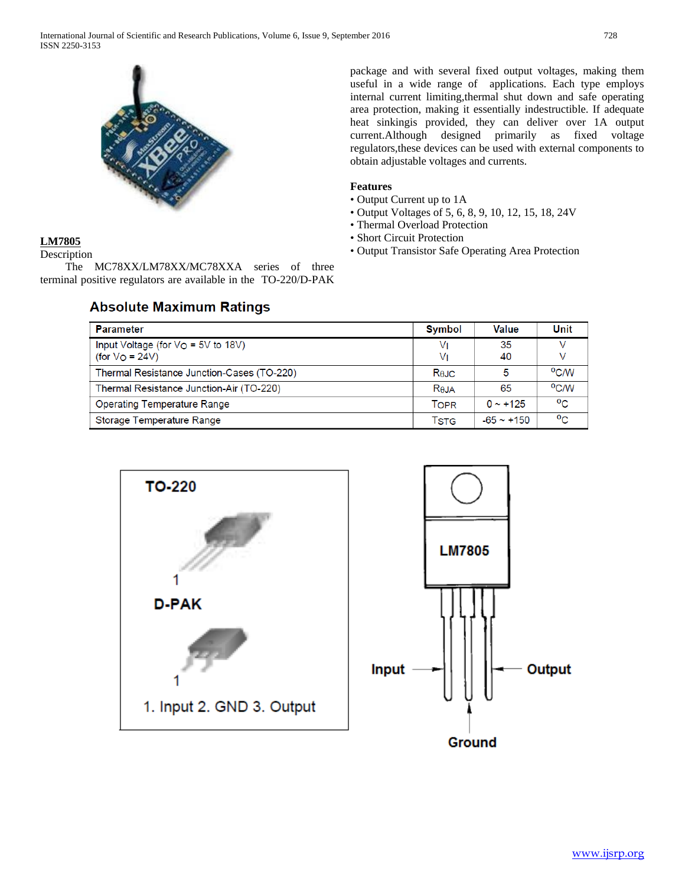

## **LM7805**

Description

 The MC78XX/LM78XX/MC78XXA series of three terminal positive regulators are available in the TO-220/D-PAK

## **Absolute Maximum Ratings**

package and with several fixed output voltages, making them useful in a wide range of applications. Each type employs internal current limiting,thermal shut down and safe operating area protection, making it essentially indestructible. If adequate heat sinkingis provided, they can deliver over 1A output current.Although designed primarily as fixed voltage regulators,these devices can be used with external components to obtain adjustable voltages and currents.

## **Features**

- Output Current up to 1A
- Output Voltages of 5, 6, 8, 9, 10, 12, 15, 18, 24V
- Thermal Overload Protection
- Short Circuit Protection
- Output Transistor Safe Operating Area Protection

| <b>Parameter</b>                                                        | <b>Symbol</b> | <b>Value</b>    | Unit             |
|-------------------------------------------------------------------------|---------------|-----------------|------------------|
| Input Voltage (for $V_O = 5V$ to 18V)<br>(for $\sqrt{O} = 24\sqrt{O}$ ) | V١<br>V١      | 35<br>40        |                  |
| Thermal Resistance Junction-Cases (TO-220)                              | Rejc          | 5               | <sup>o</sup> C/W |
| Thermal Resistance Junction-Air (TO-220)                                | Reja          | 65              | <sup>o</sup> C/W |
| <b>Operating Temperature Range</b>                                      | TOPR          | $0 \sim +125$   | $^{\rm o}$ C     |
| Storage Temperature Range                                               | TstG          | $-65 \sim +150$ | $^{o}C$          |

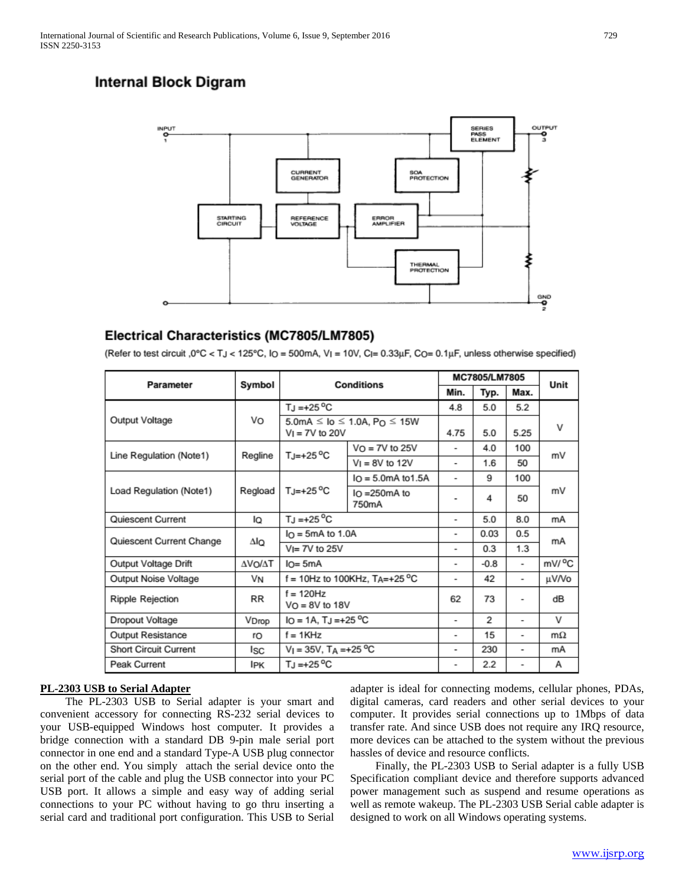## **Internal Block Digram**



## Electrical Characteristics (MC7805/LM7805)

(Refer to test circuit ,0°C < TJ < 125°C, IO = 500mA, VI = 10V, CI= 0.33µF, CO= 0.1µF, unless otherwise specified)

| <b>Parameter</b>             |            |                                                                                                          | MC7805/LM7805             | Unit           |                          |                    |    |  |
|------------------------------|------------|----------------------------------------------------------------------------------------------------------|---------------------------|----------------|--------------------------|--------------------|----|--|
|                              | Symbol     | <b>Conditions</b>                                                                                        |                           | Min.           | Typ.                     | Max.               |    |  |
|                              |            | TJ = +25 °C                                                                                              |                           | 4.8            | 5.0                      | 5.2                |    |  |
| Output Voltage               | Vo         | $5.0 \text{mA} \leq \text{Io} \leq 1.0 \text{A}, \text{P}_\text{O} \leq 15 \text{W}$<br>$VI = 7V$ to 20V |                           | 4.75           | 5.0                      | 5.25               | v  |  |
|                              |            | TJ=+25 °C                                                                                                | $VO = 7V$ to 25V          | ٠              | 4.0                      | 100                | mV |  |
| Line Regulation (Note1)      | Regline    |                                                                                                          | $VI = 8V$ to 12V          | ٠              | 1.6                      | 50                 |    |  |
|                              |            |                                                                                                          | $IO = 5.0mA$ to 1.5A      | ۰              | 9                        | 100                |    |  |
| Load Regulation (Note1)      | Regload    | $TJ=+25\,^{\circ}\text{C}$                                                                               | $I_O = 250mA$ to<br>750mA |                | 4                        | 50                 | mV |  |
| Quiescent Current            | lo         | TJ =+25 $\mathrm{^oC}$                                                                                   | ٠                         | 5.0            | 8.0                      | mA                 |    |  |
| Quiescent Current Change     |            | $IO$ = 5mA to 1.0A                                                                                       |                           | 0.03           | 0.5                      | mA                 |    |  |
| ΔlQ                          |            | $V = 7V$ to 25V                                                                                          |                           | 0.3            | 1.3                      |                    |    |  |
| Output Voltage Drift         | ΔVΟ/ΔΤ     | $I$ <sub>O</sub> = 5mA                                                                                   | ٠                         | $-0.8$         | $\overline{\phantom{0}}$ | mV/ <sup>o</sup> C |    |  |
| Output Noise Voltage         | VN         | f = 10Hz to 100KHz, $TA=+25$ °C                                                                          | ٠                         | 42             | -                        | µV/Vo              |    |  |
| Ripple Rejection             | <b>RR</b>  | $f = 120$ Hz<br>$Vo = 8V$ to 18V                                                                         | 62                        | 73             |                          | dB                 |    |  |
| Dropout Voltage              | VDrop      | $IO = 1A$ , T <sub>J</sub> = +25 <sup>o</sup> C                                                          | ۰                         | $\overline{2}$ |                          | v                  |    |  |
| Output Resistance            | ro         | $f = 1$ KHz                                                                                              | $\overline{\phantom{a}}$  | 15             |                          | $m\Omega$          |    |  |
| <b>Short Circuit Current</b> | lsc        | $V_1 = 35V$ , T <sub>A</sub> = +25 <sup>o</sup> C                                                        | $\overline{\phantom{a}}$  | 230            |                          | mA                 |    |  |
| Peak Current                 | <b>IPK</b> | T.J = +25 °C                                                                                             |                           | 2.2            | -                        | Α                  |    |  |

## **PL-2303 USB to Serial Adapter**

 The PL-2303 USB to Serial adapter is your smart and convenient accessory for connecting RS-232 serial devices to your USB-equipped Windows host computer. It provides a bridge connection with a standard DB 9-pin male serial port connector in one end and a standard Type-A USB plug connector on the other end. You simply attach the serial device onto the serial port of the cable and plug the USB connector into your PC USB port. It allows a simple and easy way of adding serial connections to your PC without having to go thru inserting a serial card and traditional port configuration. This USB to Serial

adapter is ideal for connecting modems, cellular phones, PDAs, digital cameras, card readers and other serial devices to your computer. It provides serial connections up to 1Mbps of data transfer rate. And since USB does not require any IRQ resource, more devices can be attached to the system without the previous hassles of device and resource conflicts.

 Finally, the PL-2303 USB to Serial adapter is a fully USB Specification compliant device and therefore supports advanced power management such as suspend and resume operations as well as remote wakeup. The PL-2303 USB Serial cable adapter is designed to work on all Windows operating systems.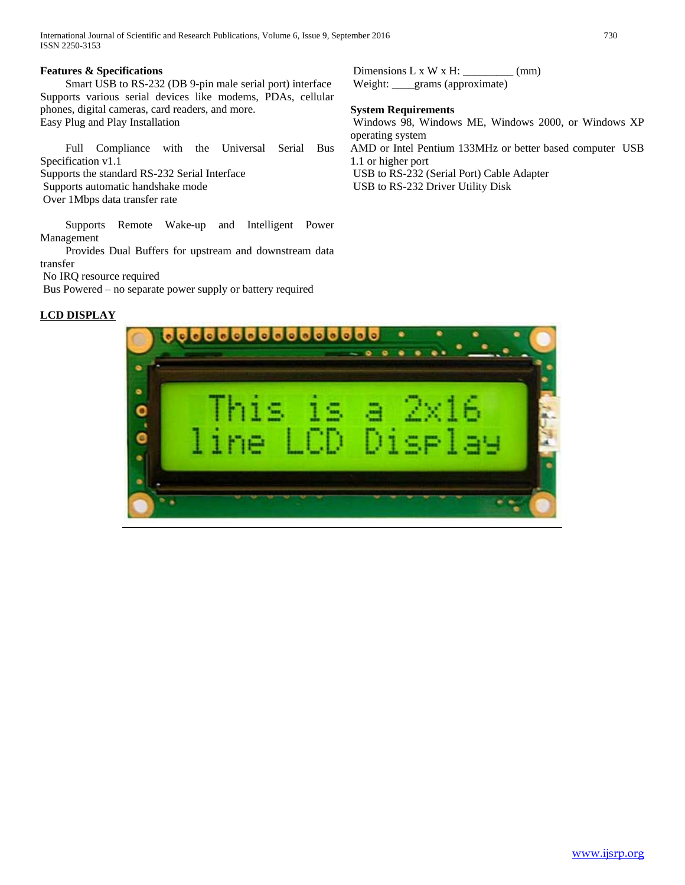#### **Features & Specifications**

 Smart USB to RS-232 (DB 9-pin male serial port) interface Supports various serial devices like modems, PDAs, cellular phones, digital cameras, card readers, and more. Easy Plug and Play Installation

 Full Compliance with the Universal Serial Bus Specification v1.1 Supports the standard RS-232 Serial Interface Supports automatic handshake mode Over 1Mbps data transfer rate

 Supports Remote Wake-up and Intelligent Power Management

 Provides Dual Buffers for upstream and downstream data transfer

No IRQ resource required

Bus Powered – no separate power supply or battery required

### **LCD DISPLAY**

Dimensions  $L \times W \times H$ : \_\_\_\_\_\_\_\_\_\_\_ (mm) Weight: \_\_\_\_grams (approximate)

#### **System Requirements**

Windows 98, Windows ME, Windows 2000, or Windows XP operating system AMD or Intel Pentium 133MHz or better based computer USB 1.1 or higher port USB to RS-232 (Serial Port) Cable Adapter USB to RS-232 Driver Utility Disk

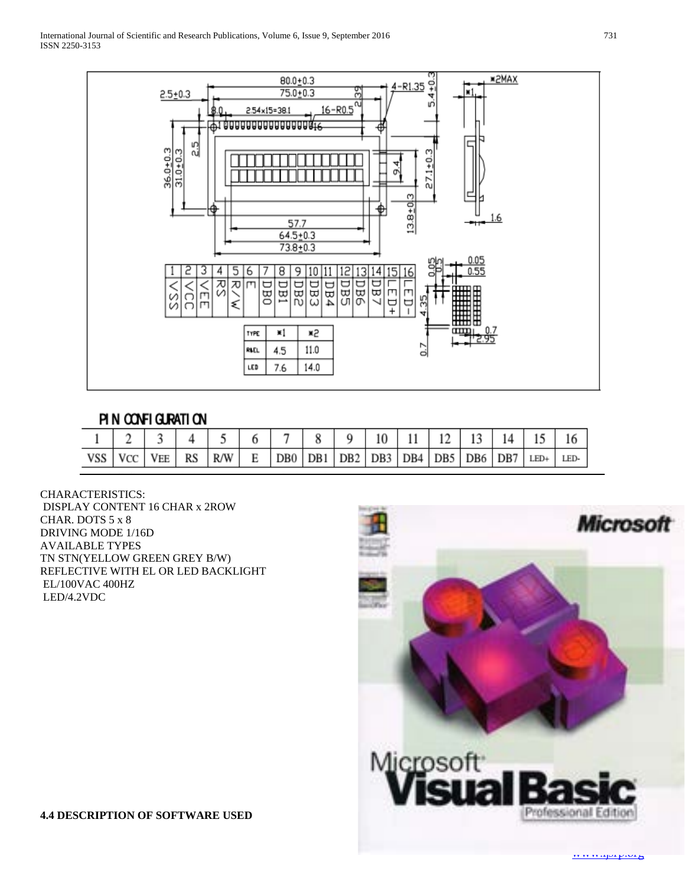

## PIN CONFIGURATION

| <b>VSS</b> |  | <b>RS</b> | R/W | E |  |  |  | DB0   DB1   DB2   DB3   DB4   DB5   DB6   DB7 | LED+ | LED- |
|------------|--|-----------|-----|---|--|--|--|-----------------------------------------------|------|------|

CHARACTERISTICS:

DISPLAY CONTENT 16 CHAR x 2ROW CHAR. DOTS 5 x 8 DRIVING MODE 1/16D AVAILABLE TYPES TN STN(YELLOW GREEN GREY B/W) REFLECTIVE WITH EL OR LED BACKLIGHT EL/100VAC 400HZ LED/4.2VDC

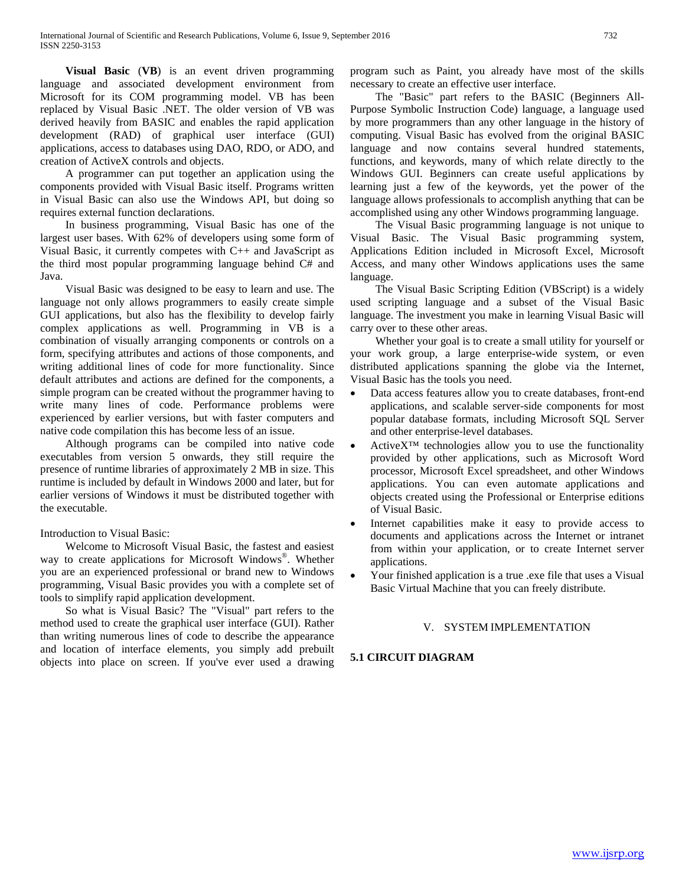**Visual Basic** (**VB**) is an event driven programming language and associated development environment from Microsoft for its COM programming model. VB has been replaced by Visual Basic .NET. The older version of VB was derived heavily from BASIC and enables the rapid application development (RAD) of graphical user interface (GUI) applications, access to databases using DAO, RDO, or ADO, and creation of ActiveX controls and objects.

 A programmer can put together an application using the components provided with Visual Basic itself. Programs written in Visual Basic can also use the Windows API, but doing so requires external function declarations.

 In business programming, Visual Basic has one of the largest user bases. With 62% of developers using some form of Visual Basic, it currently competes with C++ and JavaScript as the third most popular programming language behind C# and Java.

 Visual Basic was designed to be easy to learn and use. The language not only allows programmers to easily create simple GUI applications, but also has the flexibility to develop fairly complex applications as well. Programming in VB is a combination of visually arranging components or controls on a form, specifying attributes and actions of those components, and writing additional lines of code for more functionality. Since default attributes and actions are defined for the components, a simple program can be created without the programmer having to write many lines of code. Performance problems were experienced by earlier versions, but with faster computers and native code compilation this has become less of an issue.

 Although programs can be compiled into native code executables from version 5 onwards, they still require the presence of runtime libraries of approximately 2 MB in size. This runtime is included by default in Windows 2000 and later, but for earlier versions of Windows it must be distributed together with the executable.

Introduction to Visual Basic:

 Welcome to Microsoft Visual Basic, the fastest and easiest way to create applications for Microsoft Windows®. Whether you are an experienced professional or brand new to Windows programming, Visual Basic provides you with a complete set of tools to simplify rapid application development.

 So what is Visual Basic? The "Visual" part refers to the method used to create the graphical user interface (GUI). Rather than writing numerous lines of code to describe the appearance and location of interface elements, you simply add prebuilt objects into place on screen. If you've ever used a drawing

program such as Paint, you already have most of the skills necessary to create an effective user interface.

 The "Basic" part refers to the BASIC (Beginners All-Purpose Symbolic Instruction Code) language, a language used by more programmers than any other language in the history of computing. Visual Basic has evolved from the original BASIC language and now contains several hundred statements, functions, and keywords, many of which relate directly to the Windows GUI. Beginners can create useful applications by learning just a few of the keywords, yet the power of the language allows professionals to accomplish anything that can be accomplished using any other Windows programming language.

 The Visual Basic programming language is not unique to Visual Basic. The Visual Basic programming system, Applications Edition included in Microsoft Excel, Microsoft Access, and many other Windows applications uses the same language.

 The Visual Basic Scripting Edition (VBScript) is a widely used scripting language and a subset of the Visual Basic language. The investment you make in learning Visual Basic will carry over to these other areas.

 Whether your goal is to create a small utility for yourself or your work group, a large enterprise-wide system, or even distributed applications spanning the globe via the Internet, Visual Basic has the tools you need.

- Data access features allow you to create databases, front-end applications, and scalable server-side components for most popular database formats, including Microsoft SQL Server and other enterprise-level databases.
- $ActiveX^{TM}$  technologies allow you to use the functionality provided by other applications, such as Microsoft Word processor, Microsoft Excel spreadsheet, and other Windows applications. You can even automate applications and objects created using the Professional or Enterprise editions of Visual Basic.
- Internet capabilities make it easy to provide access to documents and applications across the Internet or intranet from within your application, or to create Internet server applications.
- Your finished application is a true .exe file that uses a Visual Basic Virtual Machine that you can freely distribute.

## V. SYSTEM IMPLEMENTATION

## **5.1 CIRCUIT DIAGRAM**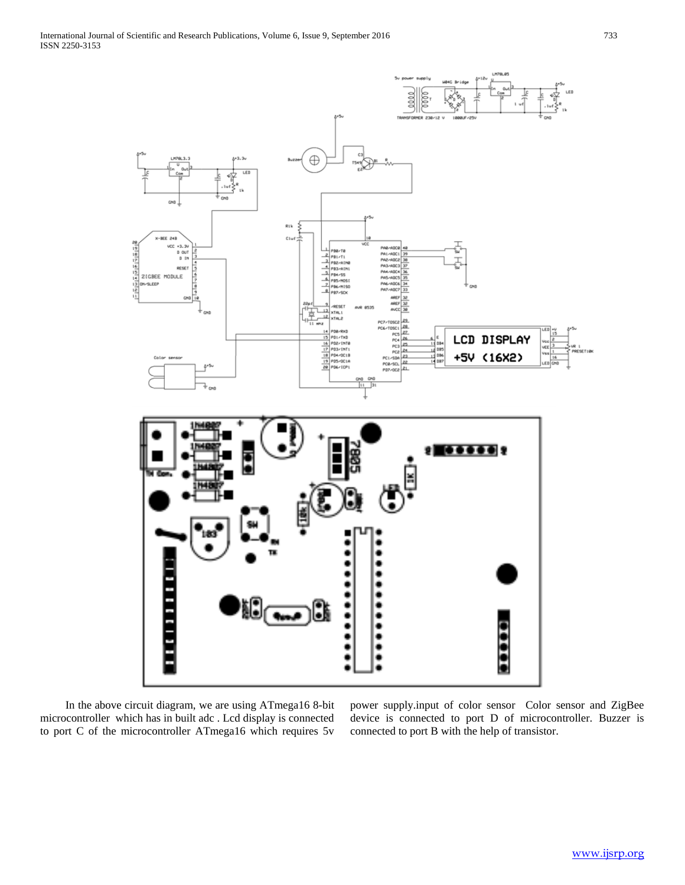$\frac{1}{2}$ <br> $\frac{1}{2}$ <br> $\frac{1}{2}$ <br> $\frac{1}{2}$ <br> $\frac{1}{2}$ <br> $\frac{1}{2}$ <br> $\frac{1}{2}$ <br><br><br><br><br><br><br><br><br><br><br><br><br><br>



۰ ۹

 In the above circuit diagram, we are using ATmega16 8-bit microcontroller which has in built adc . Lcd display is connected to port C of the microcontroller ATmega16 which requires 5v

power supply.input of color sensor Color sensor and ZigBee device is connected to port D of microcontroller. Buzzer is connected to port B with the help of transistor.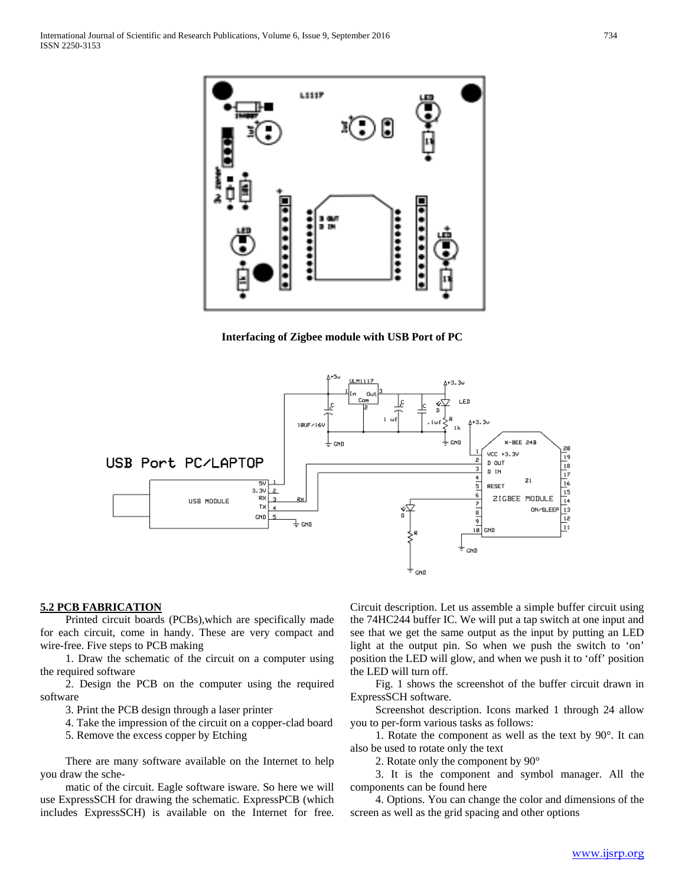

**Interfacing of Zigbee module with USB Port of PC**



#### **5.2 PCB FABRICATION**

 Printed circuit boards (PCBs),which are specifically made for each circuit, come in handy. These are very compact and wire-free. Five steps to PCB making

 1. Draw the schematic of the circuit on a computer using the required software

 2. Design the PCB on the computer using the required software

3. Print the PCB design through a laser printer

4. Take the impression of the circuit on a copper-clad board

5. Remove the excess copper by Etching

 There are many software available on the Internet to help you draw the sche-

 matic of the circuit. Eagle software isware. So here we will use ExpressSCH for drawing the schematic. ExpressPCB (which includes ExpressSCH) is available on the Internet for free.

Circuit description. Let us assemble a simple buffer circuit using the 74HC244 buffer IC. We will put a tap switch at one input and see that we get the same output as the input by putting an LED light at the output pin. So when we push the switch to 'on' position the LED will glow, and when we push it to 'off' position the LED will turn off.

 Fig. 1 shows the screenshot of the buffer circuit drawn in ExpressSCH software.

 Screenshot description. Icons marked 1 through 24 allow you to per-form various tasks as follows:

 1. Rotate the component as well as the text by 90°. It can also be used to rotate only the text

2. Rotate only the component by 90°

 3. It is the component and symbol manager. All the components can be found here

 4. Options. You can change the color and dimensions of the screen as well as the grid spacing and other options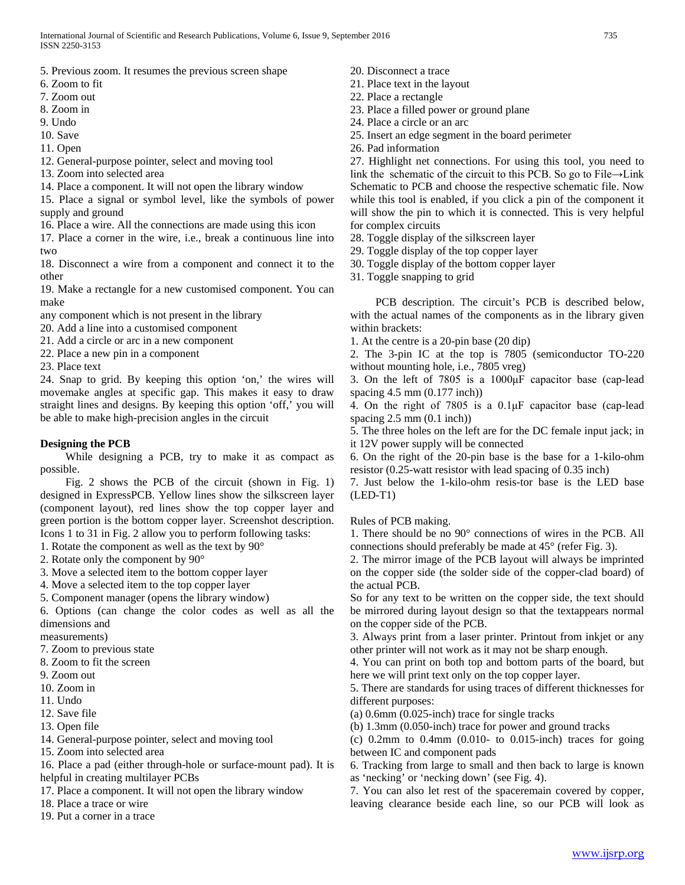- 5. Previous zoom. It resumes the previous screen shape
- 6. Zoom to fit
- 7. Zoom out
- 8. Zoom in
- 9. Undo
- 10. Save

11. Open

- 12. General-purpose pointer, select and moving tool
- 13. Zoom into selected area
- 14. Place a component. It will not open the library window

15. Place a signal or symbol level, like the symbols of power supply and ground

16. Place a wire. All the connections are made using this icon

17. Place a corner in the wire, i.e., break a continuous line into two

18. Disconnect a wire from a component and connect it to the other

19. Make a rectangle for a new customised component. You can make

any component which is not present in the library

20. Add a line into a customised component

21. Add a circle or arc in a new component

22. Place a new pin in a component

23. Place text

24. Snap to grid. By keeping this option 'on,' the wires will movemake angles at specific gap. This makes it easy to draw straight lines and designs. By keeping this option 'off,' you will be able to make high-precision angles in the circuit

#### **Designing the PCB**

 While designing a PCB, try to make it as compact as possible.

 Fig. 2 shows the PCB of the circuit (shown in Fig. 1) designed in ExpressPCB. Yellow lines show the silkscreen layer (component layout), red lines show the top copper layer and green portion is the bottom copper layer. Screenshot description. Icons 1 to 31 in Fig. 2 allow you to perform following tasks:

1. Rotate the component as well as the text by 90°

- 2. Rotate only the component by 90°
- 3. Move a selected item to the bottom copper layer
- 4. Move a selected item to the top copper layer
- 5. Component manager (opens the library window)

6. Options (can change the color codes as well as all the dimensions and

measurements)

- 7. Zoom to previous state
- 8. Zoom to fit the screen
- 9. Zoom out
- 10. Zoom in
- 11. Undo
- 12. Save file
- 13. Open file

14. General-purpose pointer, select and moving tool

15. Zoom into selected area

16. Place a pad (either through-hole or surface-mount pad). It is helpful in creating multilayer PCBs

- 17. Place a component. It will not open the library window
- 18. Place a trace or wire
- 19. Put a corner in a trace
- 20. Disconnect a trace
- 21. Place text in the layout
- 22. Place a rectangle
- 23. Place a filled power or ground plane
- 24. Place a circle or an arc
- 25. Insert an edge segment in the board perimeter
- 26. Pad information

27. Highlight net connections. For using this tool, you need to link the schematic of the circuit to this PCB. So go to File→Link Schematic to PCB and choose the respective schematic file. Now while this tool is enabled, if you click a pin of the component it will show the pin to which it is connected. This is very helpful for complex circuits

- 28. Toggle display of the silkscreen layer
- 29. Toggle display of the top copper layer
- 30. Toggle display of the bottom copper layer
- 31. Toggle snapping to grid

 PCB description. The circuit's PCB is described below, with the actual names of the components as in the library given within brackets:

1. At the centre is a 20-pin base (20 dip)

2. The 3-pin IC at the top is 7805 (semiconductor TO-220 without mounting hole, i.e., 7805 vreg)

3. On the left of 7805 is a 1000μF capacitor base (cap-lead spacing 4.5 mm (0.177 inch))

4. On the right of 7805 is a 0.1μF capacitor base (cap-lead spacing  $2.5 \text{ mm} (0.1 \text{ inch})$ 

5. The three holes on the left are for the DC female input jack; in it 12V power supply will be connected

6. On the right of the 20-pin base is the base for a 1-kilo-ohm resistor (0.25-watt resistor with lead spacing of 0.35 inch)

7. Just below the 1-kilo-ohm resis-tor base is the LED base (LED-T1)

Rules of PCB making.

1. There should be no 90° connections of wires in the PCB. All connections should preferably be made at 45° (refer Fig. 3).

2. The mirror image of the PCB layout will always be imprinted on the copper side (the solder side of the copper-clad board) of the actual PCB.

So for any text to be written on the copper side, the text should be mirrored during layout design so that the textappears normal on the copper side of the PCB.

3. Always print from a laser printer. Printout from inkjet or any other printer will not work as it may not be sharp enough.

4. You can print on both top and bottom parts of the board, but here we will print text only on the top copper layer.

5. There are standards for using traces of different thicknesses for different purposes:

(a) 0.6mm (0.025-inch) trace for single tracks

(b) 1.3mm (0.050-inch) trace for power and ground tracks

(c)  $0.2$ mm to  $0.4$ mm  $(0.010 - t_0 0.015 - t_0)$  traces for going between IC and component pads

6. Tracking from large to small and then back to large is known as 'necking' or 'necking down' (see Fig. 4).

7. You can also let rest of the spaceremain covered by copper, leaving clearance beside each line, so our PCB will look as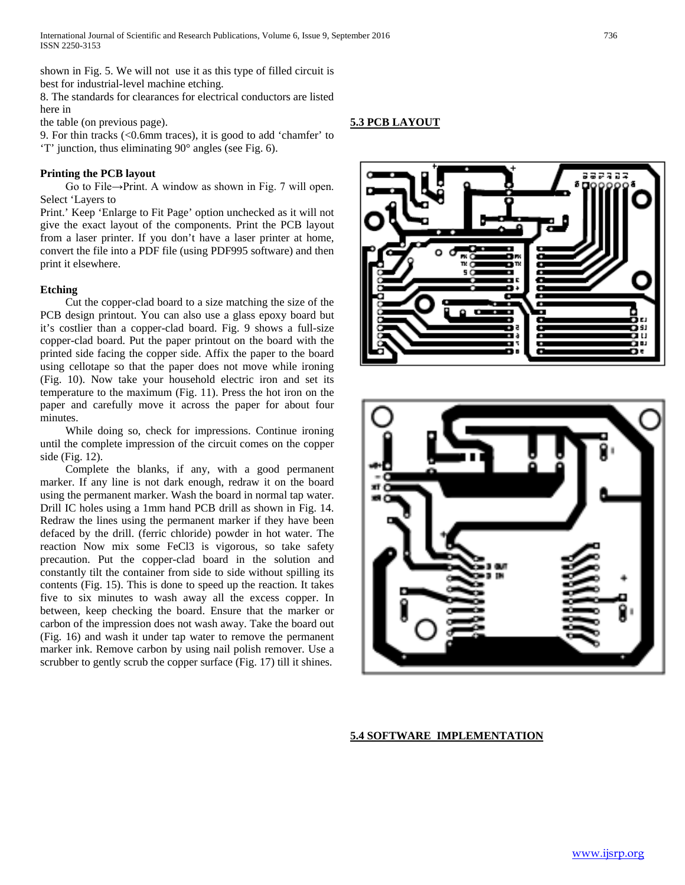shown in Fig. 5. We will not use it as this type of filled circuit is best for industrial-level machine etching.

8. The standards for clearances for electrical conductors are listed here in

the table (on previous page).

9. For thin tracks (<0.6mm traces), it is good to add 'chamfer' to 'T' junction, thus eliminating 90° angles (see Fig. 6).

#### **Printing the PCB layout**

Go to File $\rightarrow$ Print. A window as shown in Fig. 7 will open. Select 'Layers to

Print.' Keep 'Enlarge to Fit Page' option unchecked as it will not give the exact layout of the components. Print the PCB layout from a laser printer. If you don't have a laser printer at home, convert the file into a PDF file (using PDF995 software) and then print it elsewhere.

#### **Etching**

 Cut the copper-clad board to a size matching the size of the PCB design printout. You can also use a glass epoxy board but it's costlier than a copper-clad board. Fig. 9 shows a full-size copper-clad board. Put the paper printout on the board with the printed side facing the copper side. Affix the paper to the board using cellotape so that the paper does not move while ironing (Fig. 10). Now take your household electric iron and set its temperature to the maximum (Fig. 11). Press the hot iron on the paper and carefully move it across the paper for about four minutes.

 While doing so, check for impressions. Continue ironing until the complete impression of the circuit comes on the copper side (Fig. 12).

 Complete the blanks, if any, with a good permanent marker. If any line is not dark enough, redraw it on the board using the permanent marker. Wash the board in normal tap water. Drill IC holes using a 1mm hand PCB drill as shown in Fig. 14. Redraw the lines using the permanent marker if they have been defaced by the drill. (ferric chloride) powder in hot water. The reaction Now mix some FeCl3 is vigorous, so take safety precaution. Put the copper-clad board in the solution and constantly tilt the container from side to side without spilling its contents (Fig. 15). This is done to speed up the reaction. It takes five to six minutes to wash away all the excess copper. In between, keep checking the board. Ensure that the marker or carbon of the impression does not wash away. Take the board out (Fig. 16) and wash it under tap water to remove the permanent marker ink. Remove carbon by using nail polish remover. Use a scrubber to gently scrub the copper surface (Fig. 17) till it shines.

### **5.3 PCB LAYOUT**





#### **5.4 SOFTWARE IMPLEMENTATION**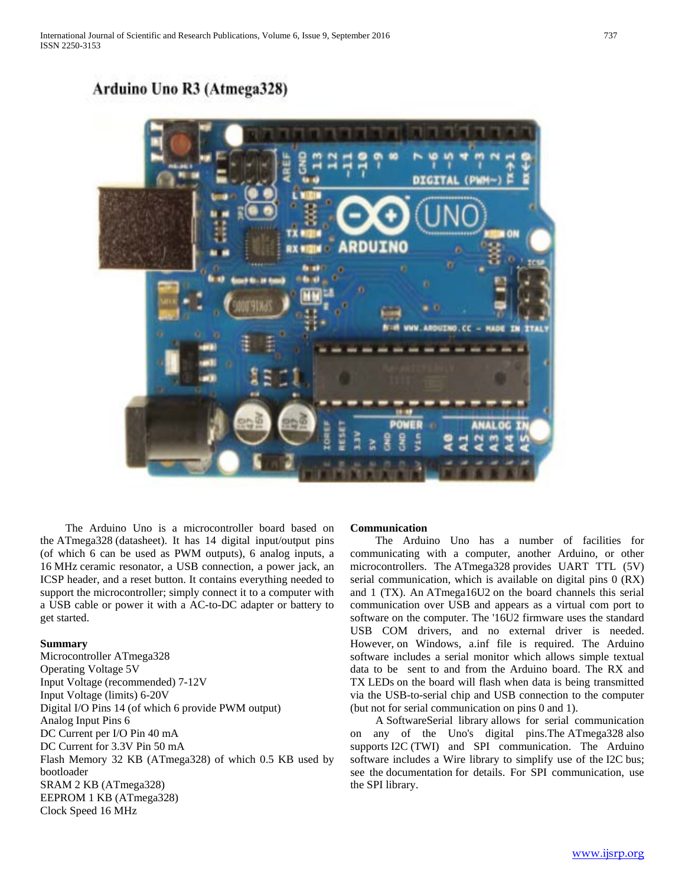## Arduino Uno R3 (Atmega328)



 The Arduino Uno is a microcontroller board based on the ATmega328 (datasheet). It has 14 digital input/output pins (of which 6 can be used as PWM outputs), 6 analog inputs, a 16 MHz ceramic resonator, a USB connection, a power jack, an ICSP header, and a reset button. It contains everything needed to support the microcontroller; simply connect it to a computer with a USB cable or power it with a AC-to-DC adapter or battery to get started.

#### **Summary**

Microcontroller ATmega328 Operating Voltage 5V Input Voltage (recommended) 7-12V Input Voltage (limits) 6-20V Digital I/O Pins 14 (of which 6 provide PWM output) Analog Input Pins 6 DC Current per I/O Pin 40 mA DC Current for 3.3V Pin 50 mA Flash Memory 32 KB (ATmega328) of which 0.5 KB used by bootloader SRAM 2 KB (ATmega328) EEPROM 1 KB (ATmega328) Clock Speed 16 MHz

#### **Communication**

 The Arduino Uno has a number of facilities for communicating with a computer, another Arduino, or other microcontrollers. The ATmega328 provides UART TTL (5V) serial communication, which is available on digital pins 0 (RX) and 1 (TX). An ATmega16U2 on the board channels this serial communication over USB and appears as a virtual com port to software on the computer. The '16U2 firmware uses the standard USB COM drivers, and no external driver is needed. However, on Windows, a.inf file is required. The Arduino software includes a serial monitor which allows simple textual data to be sent to and from the Arduino board. The RX and TX LEDs on the board will flash when data is being transmitted via the USB-to-serial chip and USB connection to the computer (but not for serial communication on pins 0 and 1).

 A SoftwareSerial library allows for serial communication on any of the Uno's digital pins.The ATmega328 also supports I2C (TWI) and SPI communication. The Arduino software includes a Wire library to simplify use of the I2C bus; see the documentation for details. For SPI communication, use the SPI library.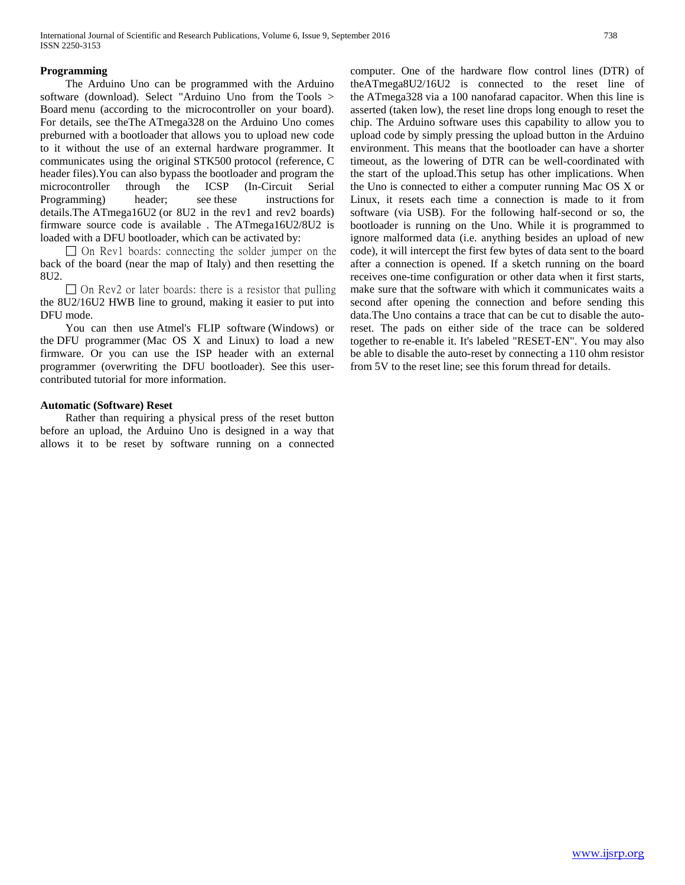#### **Programming**

 The Arduino Uno can be programmed with the Arduino software (download). Select "Arduino Uno from the Tools > Board menu (according to the microcontroller on your board). For details, see theThe ATmega328 on the Arduino Uno comes preburned with a bootloader that allows you to upload new code to it without the use of an external hardware programmer. It communicates using the original STK500 protocol (reference, C header files).You can also bypass the bootloader and program the microcontroller through the ICSP (In-Circuit Serial Programming) header; see these instructions for details.The ATmega16U2 (or 8U2 in the rev1 and rev2 boards) firmware source code is available . The ATmega16U2/8U2 is loaded with a DFU bootloader, which can be activated by:

 $\Box$  On Rev1 boards: connecting the solder jumper on the back of the board (near the map of Italy) and then resetting the 8U2.

 $\Box$  On Rev2 or later boards: there is a resistor that pulling the 8U2/16U2 HWB line to ground, making it easier to put into DFU mode.

 You can then use Atmel's FLIP software (Windows) or the DFU programmer (Mac OS X and Linux) to load a new firmware. Or you can use the ISP header with an external programmer (overwriting the DFU bootloader). See this usercontributed tutorial for more information.

#### **Automatic (Software) Reset**

 Rather than requiring a physical press of the reset button before an upload, the Arduino Uno is designed in a way that allows it to be reset by software running on a connected computer. One of the hardware flow control lines (DTR) of theATmega8U2/16U2 is connected to the reset line of the ATmega328 via a 100 nanofarad capacitor. When this line is asserted (taken low), the reset line drops long enough to reset the chip. The Arduino software uses this capability to allow you to upload code by simply pressing the upload button in the Arduino environment. This means that the bootloader can have a shorter timeout, as the lowering of DTR can be well-coordinated with the start of the upload.This setup has other implications. When the Uno is connected to either a computer running Mac OS X or Linux, it resets each time a connection is made to it from software (via USB). For the following half-second or so, the bootloader is running on the Uno. While it is programmed to ignore malformed data (i.e. anything besides an upload of new code), it will intercept the first few bytes of data sent to the board after a connection is opened. If a sketch running on the board receives one-time configuration or other data when it first starts, make sure that the software with which it communicates waits a second after opening the connection and before sending this data.The Uno contains a trace that can be cut to disable the autoreset. The pads on either side of the trace can be soldered together to re-enable it. It's labeled "RESET-EN". You may also be able to disable the auto-reset by connecting a 110 ohm resistor from 5V to the reset line; see this forum thread for details.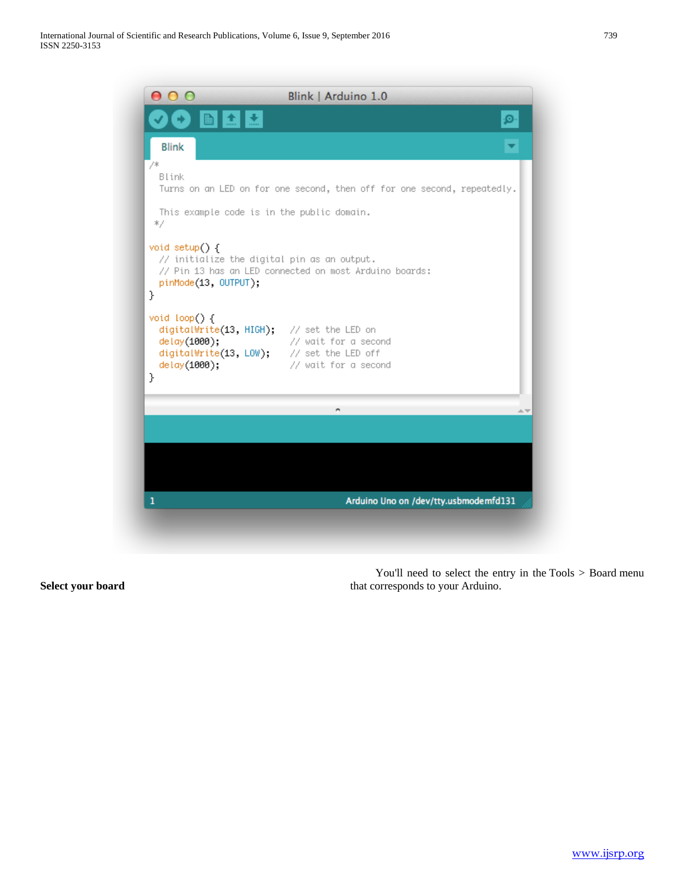

**Select your board**

 You'll need to select the entry in the Tools > Board menu that corresponds to your Arduino.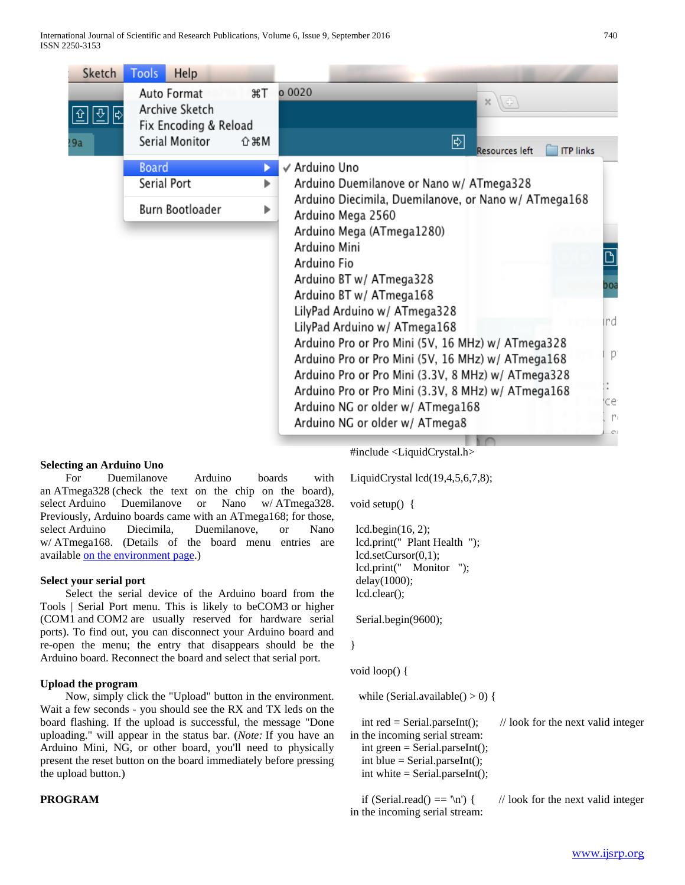| Sketch                                                                                                         | <b>Tools</b><br>Help                                                                             |                                                                                                              |
|----------------------------------------------------------------------------------------------------------------|--------------------------------------------------------------------------------------------------|--------------------------------------------------------------------------------------------------------------|
| $\boxed{\underline{\mathfrak{v}}}$ $\boxed{\underline{\mathfrak{v}}}$ $\boxed{\underline{\mathfrak{v}}}$<br>9a | $\frac{1}{2}$<br>Auto Format<br>Archive Sketch<br>Fix Encoding & Reload<br>Serial Monitor<br>企業M | o 0020<br>$\mathbb{X}$<br>図<br><b>ITP links</b><br><b>Resources left</b>                                     |
|                                                                                                                | Board                                                                                            | √ Arduino Uno                                                                                                |
|                                                                                                                | Serial Port<br>Þ                                                                                 | Arduino Duemilanove or Nano w/ ATmega328                                                                     |
|                                                                                                                | Burn Bootloader<br>▶                                                                             | Arduino Diecimila, Duemilanove, or Nano w/ ATmega168<br>Arduino Mega 2560                                    |
|                                                                                                                |                                                                                                  | Arduino Mega (ATmega1280)                                                                                    |
|                                                                                                                |                                                                                                  | Arduino Mini                                                                                                 |
|                                                                                                                |                                                                                                  | Arduino Fio                                                                                                  |
|                                                                                                                |                                                                                                  | Arduino BT w/ ATmega328<br>boa                                                                               |
|                                                                                                                |                                                                                                  | Arduino BT w/ ATmega168                                                                                      |
|                                                                                                                |                                                                                                  | LilyPad Arduino w/ ATmega328<br>ird                                                                          |
|                                                                                                                |                                                                                                  | LilyPad Arduino w/ ATmega168                                                                                 |
|                                                                                                                |                                                                                                  | Arduino Pro or Pro Mini (5V, 16 MHz) w/ ATmega328<br>D.<br>Arduino Pro or Pro Mini (5V, 16 MHz) w/ ATmega168 |
|                                                                                                                |                                                                                                  | Arduino Pro or Pro Mini (3.3V, 8 MHz) w/ ATmega328                                                           |
|                                                                                                                |                                                                                                  | Arduino Pro or Pro Mini (3.3V, 8 MHz) w/ ATmega168                                                           |
|                                                                                                                |                                                                                                  | ce <sup>.</sup><br>Arduino NG or older w/ ATmega168                                                          |
|                                                                                                                |                                                                                                  | $\mathsf{P}$<br>Arduino NG or older w/ ATmega8                                                               |
|                                                                                                                |                                                                                                  | C1                                                                                                           |

#### **Selecting an Arduino Uno**

 For Duemilanove Arduino boards with an ATmega328 (check the text on the chip on the board), select Arduino Duemilanove or Nano w/ ATmega328. Previously, Arduino boards came with an ATmega168; for those, select Arduino Diecimila, Duemilanove, or Nano w/ ATmega168. (Details of the board menu entries are available [on the environment page.](http://arduino.cc/en/Guide/Environment#boards))

#### **Select your serial port**

 Select the serial device of the Arduino board from the Tools | Serial Port menu. This is likely to beCOM3 or higher (COM1 and COM2 are usually reserved for hardware serial ports). To find out, you can disconnect your Arduino board and re-open the menu; the entry that disappears should be the Arduino board. Reconnect the board and select that serial port.

#### **Upload the program**

 Now, simply click the "Upload" button in the environment. Wait a few seconds - you should see the RX and TX leds on the board flashing. If the upload is successful, the message "Done uploading." will appear in the status bar. (*Note:* If you have an Arduino Mini, NG, or other board, you'll need to physically present the reset button on the board immediately before pressing the upload button.)

#### **PROGRAM**

#include <LiquidCrystal.h>

LiquidCrystal lcd(19,4,5,6,7,8);

void setup() {

 lcd.begin(16, 2); lcd.print(" Plant Health "); lcd.setCursor(0,1); lcd.print(" Monitor "); delay(1000); lcd.clear();

Serial.begin(9600);

```
}
```
#### void loop() {

while (Serial.available()  $> 0$ ) {

int red = Serial.parseInt();  $\frac{1}{100}$  // look for the next valid integer in the incoming serial stream: int green = Serial.parseInt(); int blue  $=$  Serial.parseInt(); int white = Serial.parseInt();

in the incoming serial stream:

if (Serial.read() ==  $\ln$ ) { // look for the next valid integer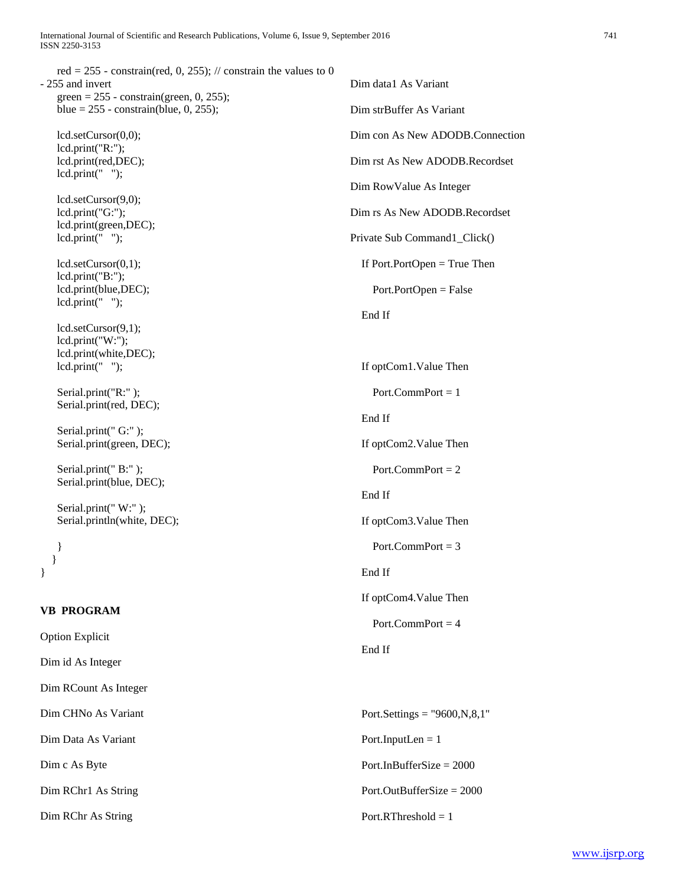| red = 255 - constrain(red, 0, 255); // constrain the values to 0<br>- 255 and invert | Dim data1 As Variant            |  |  |  |
|--------------------------------------------------------------------------------------|---------------------------------|--|--|--|
| $green = 255$ - constrain(green, 0, 255);<br>blue = $255$ - constrain(blue, 0, 255); | Dim strBuffer As Variant        |  |  |  |
| lcd.setCursor(0,0);                                                                  | Dim con As New ADODB.Connection |  |  |  |
| lcd.print("R:");                                                                     |                                 |  |  |  |
| lcd.print(red,DEC);<br>lcd.print(" ");                                               | Dim rst As New ADODB.Recordset  |  |  |  |
| lcd.setCursor(9,0);                                                                  | Dim RowValue As Integer         |  |  |  |
| lcd.print("G:");                                                                     | Dim rs As New ADODB.Recordset   |  |  |  |
| lcd.print(green,DEC);<br>lcd.print(" ");                                             | Private Sub Command1_Click()    |  |  |  |
| lcd.setCursor(0,1);                                                                  | If Port.PortOpen $=$ True Then  |  |  |  |
| lcd.print("B:");<br>lcd.print(blue,DEC);                                             | $Port.PortOpen = False$         |  |  |  |
| $lcd.print("")$ ;                                                                    | End If                          |  |  |  |
| lcd.setCursor(9,1);<br>lcd.print("W:");                                              |                                 |  |  |  |
| lcd.print(white,DEC);                                                                |                                 |  |  |  |
| $lcd.print("")$ ;                                                                    | If optCom1.Value Then           |  |  |  |
| Serial.print("R:");<br>Serial.print(red, DEC);                                       | Port.CommPort = $1$<br>End If   |  |  |  |
|                                                                                      |                                 |  |  |  |
| Serial.print(" G:" );<br>Serial.print(green, DEC);                                   | If optCom2. Value Then          |  |  |  |
| Serial.print("B:");                                                                  | Port.CommPort = $2$             |  |  |  |
| Serial.print(blue, DEC);                                                             | End If                          |  |  |  |
| Serial.print("W:");<br>Serial.println(white, DEC);                                   | If optCom3. Value Then          |  |  |  |
|                                                                                      | Port.CommPort = $3$             |  |  |  |
| }<br>$\}$                                                                            |                                 |  |  |  |
|                                                                                      | End If                          |  |  |  |
| <b>VB PROGRAM</b>                                                                    | If optCom4.Value Then           |  |  |  |
|                                                                                      | Port.CommPort = $4$             |  |  |  |
| <b>Option Explicit</b>                                                               | End If                          |  |  |  |
| Dim id As Integer                                                                    |                                 |  |  |  |
| Dim RCount As Integer                                                                |                                 |  |  |  |
| Dim CHNo As Variant                                                                  | Port.Settings = $"9600,N,8,1"$  |  |  |  |
| Dim Data As Variant                                                                  | Port.InputLen = $1$             |  |  |  |
| Dim c As Byte                                                                        | Port.InBufferSize = $2000$      |  |  |  |
| Dim RChr1 As String                                                                  | Port.OutBufferSize = $2000$     |  |  |  |
| Dim RChr As String                                                                   | Port.RThreshold = $1$           |  |  |  |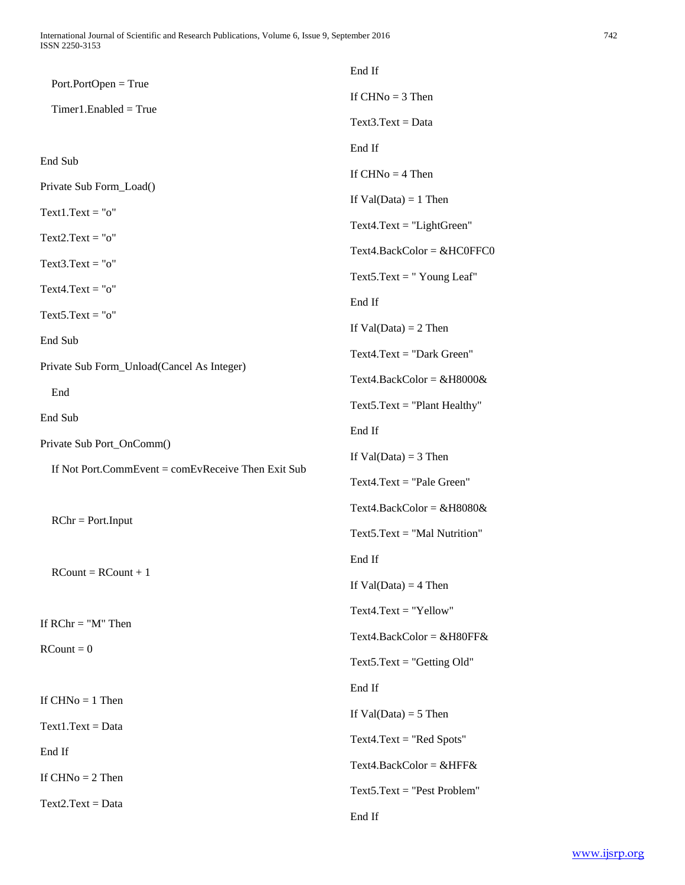| ×<br>۰ |  |
|--------|--|
|        |  |

|                                                      | End If                            |  |  |  |  |
|------------------------------------------------------|-----------------------------------|--|--|--|--|
| $Port.PortOpen = True$                               | If $CHNo = 3$ Then                |  |  |  |  |
| $Timer1.Enabeled = True$                             | $Text3.Text = Data$               |  |  |  |  |
|                                                      | End If                            |  |  |  |  |
| End Sub                                              | If $CHNo = 4$ Then                |  |  |  |  |
| Private Sub Form_Load()                              | If $Val(Data) = 1$ Then           |  |  |  |  |
| $Text1.Text = "o"$                                   | $Text4. Text = "LightGreen"$      |  |  |  |  |
| $Text2.Text = "o"$                                   | $Text4.BackColor = & HCOFFCO$     |  |  |  |  |
| $Text3.Text = "o"$                                   | Text5.Text = $"$ Young Leaf"      |  |  |  |  |
| Text4.Text = " $o$ "                                 | End If                            |  |  |  |  |
| Text5.Text = $"o"$                                   | If $Val(Data) = 2$ Then           |  |  |  |  |
| End Sub                                              | $Text4.Text = "Dark Green"$       |  |  |  |  |
| Private Sub Form_Unload(Cancel As Integer)           | Text4.BackColor = $\&$ H8000 $\&$ |  |  |  |  |
| End                                                  | Text5.Text = "Plant Healthy"      |  |  |  |  |
| End Sub                                              | End If                            |  |  |  |  |
| Private Sub Port_OnComm()                            | If $Val(Data) = 3$ Then           |  |  |  |  |
| If Not Port.CommEvent = $comEvReceive$ Then Exit Sub | $Text4.Text = "Pale Green"$       |  |  |  |  |
|                                                      | Text4.BackColor = $&H8080&$       |  |  |  |  |
| $RChr = Port. Input$                                 | $Text5. Text = "Mal Nutrition"$   |  |  |  |  |
|                                                      | End If                            |  |  |  |  |
| $RCount = RCount + 1$                                | If $Val(Data) = 4$ Then           |  |  |  |  |
|                                                      | $Text4.Text = "Yellow"$           |  |  |  |  |
| If $RChr = "M"$ Then                                 | Text4.BackColor = $&H80FF&$       |  |  |  |  |
| $RCount = 0$                                         | Text5.Text = "Getting Old"        |  |  |  |  |
|                                                      | End If                            |  |  |  |  |
| If $CHNo = 1$ Then                                   | If $Val(Data) = 5$ Then           |  |  |  |  |
| $Text1.Text = Data$                                  | $Text4.Text = "Red Sports"$       |  |  |  |  |
| End If                                               | Text4.BackColor = $&$ HFF $&$     |  |  |  |  |
| If $CHNo = 2$ Then                                   | Text5.Text = "Pest Problem"       |  |  |  |  |
| $Text2.Text = Data$                                  | End If                            |  |  |  |  |
|                                                      |                                   |  |  |  |  |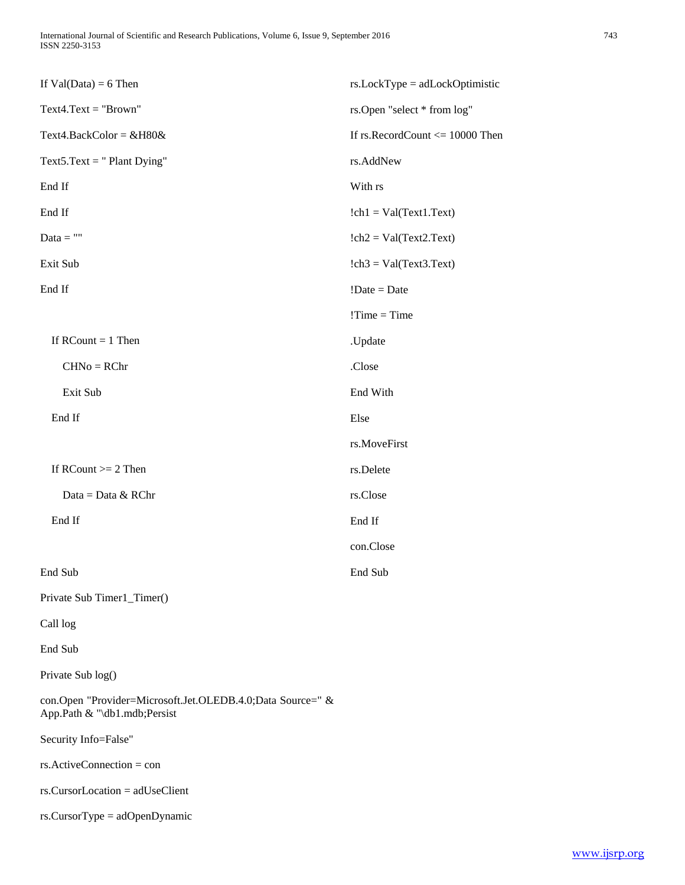| If $Val(Data) = 6$ Then                                                                    | $rs. LockType = adLockOptimistic$       |
|--------------------------------------------------------------------------------------------|-----------------------------------------|
| $Text4.Text = "Brown"$                                                                     | rs.Open "select * from log"             |
| Text4.BackColor = $&H80&$                                                                  | If $rs$ . RecordCount $\leq 10000$ Then |
| Text5.Text = $"$ Plant Dying"                                                              | rs.AddNew                               |
| End If                                                                                     | With rs                                 |
| End If                                                                                     | $!ch1 = Val(Text1.Text)$                |
| $Data = ""$                                                                                | $!ch2 = Val(Text2.Text)$                |
| Exit Sub                                                                                   | $!ch3 = Val(Text3.Text)$                |
| End If                                                                                     | $!$ Date = Date                         |
|                                                                                            | $'Time = Time$                          |
| If $RCount = 1$ Then                                                                       | .Update                                 |
| $CHNo = RChr$                                                                              | .Close                                  |
| Exit Sub                                                                                   | End With                                |
| End If                                                                                     | Else                                    |
|                                                                                            | rs.MoveFirst                            |
| If RCount $>= 2$ Then                                                                      | rs.Delete                               |
| Data = Data & RChr                                                                         | rs.Close                                |
| End If                                                                                     | End If                                  |
|                                                                                            | con.Close                               |
| End Sub                                                                                    | End Sub                                 |
| Private Sub Timer1_Timer()                                                                 |                                         |
| Call log                                                                                   |                                         |
| End Sub                                                                                    |                                         |
| Private Sub log()                                                                          |                                         |
| con.Open "Provider=Microsoft.Jet.OLEDB.4.0;Data Source=" &<br>App.Path & "\db1.mdb;Persist |                                         |
| Security Info=False"                                                                       |                                         |
| $rs$ . Active Connection = con                                                             |                                         |
| rs.CursorLocation = adUseClient                                                            |                                         |

rs.CursorType = adOpenDynamic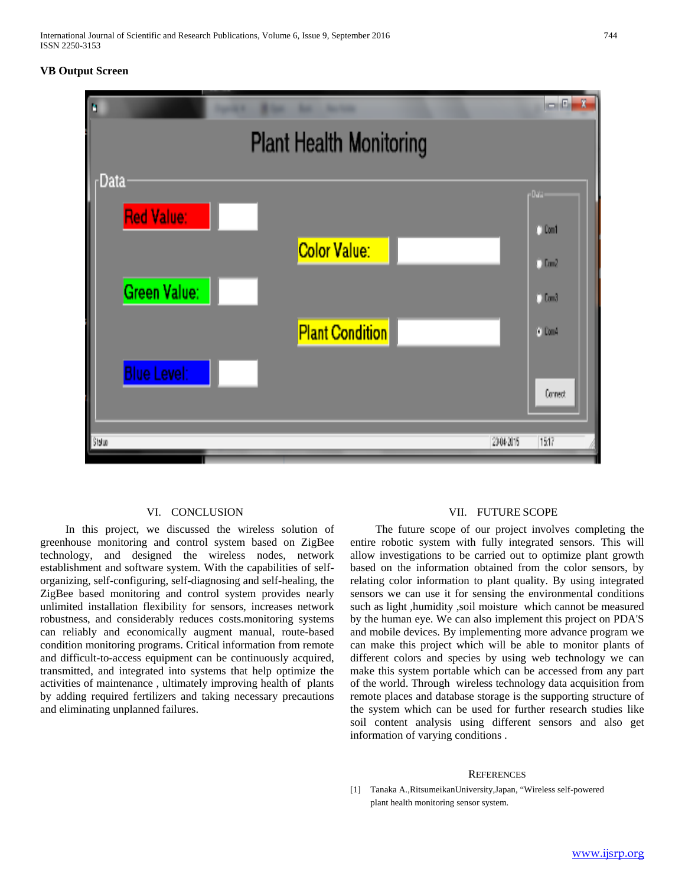International Journal of Scientific and Research Publications, Volume 6, Issue 9, September 2016 744 ISSN 2250-3153

## **VB Output Screen**



#### VI. CONCLUSION

 In this project, we discussed the wireless solution of greenhouse monitoring and control system based on ZigBee technology, and designed the wireless nodes, network establishment and software system. With the capabilities of selforganizing, self-configuring, self-diagnosing and self-healing, the ZigBee based monitoring and control system provides nearly unlimited installation flexibility for sensors, increases network robustness, and considerably reduces costs.monitoring systems can reliably and economically augment manual, route-based condition monitoring programs. Critical information from remote and difficult-to-access equipment can be continuously acquired, transmitted, and integrated into systems that help optimize the activities of maintenance , ultimately improving health of plants by adding required fertilizers and taking necessary precautions and eliminating unplanned failures.

#### VII. FUTURE SCOPE

 The future scope of our project involves completing the entire robotic system with fully integrated sensors. This will allow investigations to be carried out to optimize plant growth based on the information obtained from the color sensors, by relating color information to plant quality. By using integrated sensors we can use it for sensing the environmental conditions such as light ,humidity ,soil moisture which cannot be measured by the human eye. We can also implement this project on PDA'S and mobile devices. By implementing more advance program we can make this project which will be able to monitor plants of different colors and species by using web technology we can make this system portable which can be accessed from any part of the world. Through wireless technology data acquisition from remote places and database storage is the supporting structure of the system which can be used for further research studies like soil content analysis using different sensors and also get information of varying conditions .

#### **REFERENCES**

[1] Tanaka A.,RitsumeikanUniversity,Japan, "Wireless self-powered plant health monitoring sensor system.